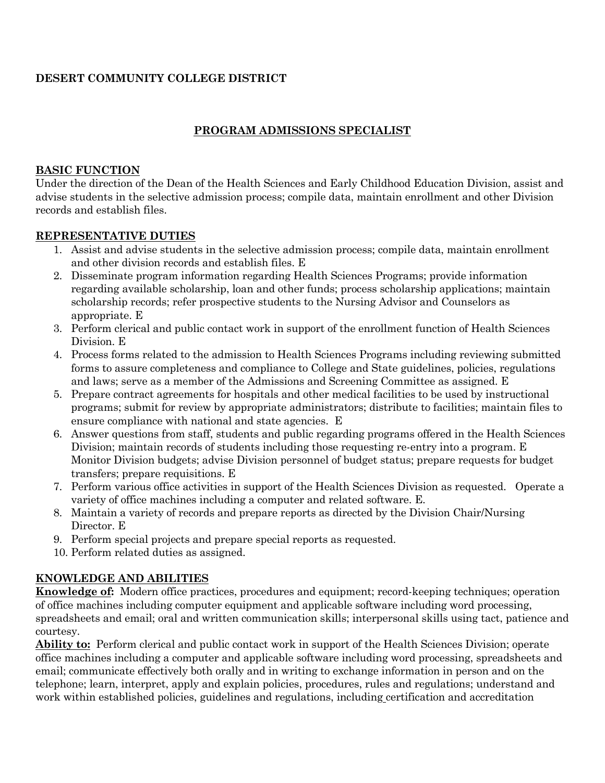# **DESERT COMMUNITY COLLEGE DISTRICT**

# **PROGRAM ADMISSIONS SPECIALIST**

### **BASIC FUNCTION**

Under the direction of the Dean of the Health Sciences and Early Childhood Education Division, assist and advise students in the selective admission process; compile data, maintain enrollment and other Division records and establish files.

## **REPRESENTATIVE DUTIES**

- 1. Assist and advise students in the selective admission process; compile data, maintain enrollment and other division records and establish files. E
- 2. Disseminate program information regarding Health Sciences Programs; provide information regarding available scholarship, loan and other funds; process scholarship applications; maintain scholarship records; refer prospective students to the Nursing Advisor and Counselors as appropriate. E
- 3. Perform clerical and public contact work in support of the enrollment function of Health Sciences Division. E
- 4. Process forms related to the admission to Health Sciences Programs including reviewing submitted forms to assure completeness and compliance to College and State guidelines, policies, regulations and laws; serve as a member of the Admissions and Screening Committee as assigned. E
- 5. Prepare contract agreements for hospitals and other medical facilities to be used by instructional programs; submit for review by appropriate administrators; distribute to facilities; maintain files to ensure compliance with national and state agencies. E
- 6. Answer questions from staff, students and public regarding programs offered in the Health Sciences Division; maintain records of students including those requesting re-entry into a program. E Monitor Division budgets; advise Division personnel of budget status; prepare requests for budget transfers; prepare requisitions. E
- 7. Perform various office activities in support of the Health Sciences Division as requested. Operate a variety of office machines including a computer and related software. E.
- 8. Maintain a variety of records and prepare reports as directed by the Division Chair/Nursing Director. E
- 9. Perform special projects and prepare special reports as requested.
- 10. Perform related duties as assigned.

## **KNOWLEDGE AND ABILITIES**

**Knowledge of:** Modern office practices, procedures and equipment; record-keeping techniques; operation of office machines including computer equipment and applicable software including word processing, spreadsheets and email; oral and written communication skills; interpersonal skills using tact, patience and courtesy.

**Ability to:** Perform clerical and public contact work in support of the Health Sciences Division; operate office machines including a computer and applicable software including word processing, spreadsheets and email; communicate effectively both orally and in writing to exchange information in person and on the telephone; learn, interpret, apply and explain policies, procedures, rules and regulations; understand and work within established policies, guidelines and regulations, including certification and accreditation